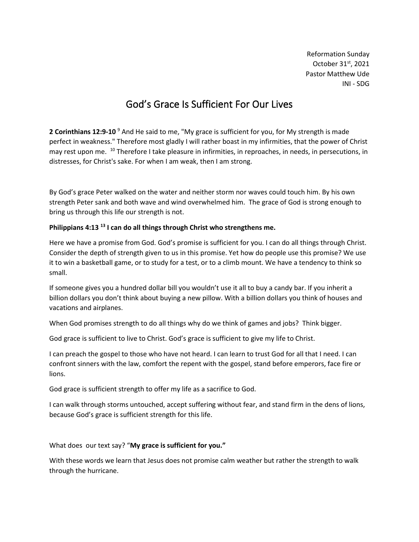Reformation Sunday October 31st, 2021 Pastor Matthew Ude INI - SDG

# God's Grace Is Sufficient For Our Lives

**2 Corinthians 12:9-10** <sup>9</sup> And He said to me, "My grace is sufficient for you, for My strength is made perfect in weakness." Therefore most gladly I will rather boast in my infirmities, that the power of Christ may rest upon me. <sup>10</sup> Therefore I take pleasure in infirmities, in reproaches, in needs, in persecutions, in distresses, for Christ's sake. For when I am weak, then I am strong.

By God's grace Peter walked on the water and neither storm nor waves could touch him. By his own strength Peter sank and both wave and wind overwhelmed him. The grace of God is strong enough to bring us through this life our strength is not.

## **Philippians 4:13 <sup>13</sup> I can do all things through Christ who strengthens me.**

Here we have a promise from God. God's promise is sufficient for you. I can do all things through Christ. Consider the depth of strength given to us in this promise. Yet how do people use this promise? We use it to win a basketball game, or to study for a test, or to a climb mount. We have a tendency to think so small.

If someone gives you a hundred dollar bill you wouldn't use it all to buy a candy bar. If you inherit a billion dollars you don't think about buying a new pillow. With a billion dollars you think of houses and vacations and airplanes.

When God promises strength to do all things why do we think of games and jobs? Think bigger.

God grace is sufficient to live to Christ. God's grace is sufficient to give my life to Christ.

I can preach the gospel to those who have not heard. I can learn to trust God for all that I need. I can confront sinners with the law, comfort the repent with the gospel, stand before emperors, face fire or lions.

God grace is sufficient strength to offer my life as a sacrifice to God.

I can walk through storms untouched, accept suffering without fear, and stand firm in the dens of lions, because God's grace is sufficient strength for this life.

What does our text say? "**My grace is sufficient for you."**

With these words we learn that Jesus does not promise calm weather but rather the strength to walk through the hurricane.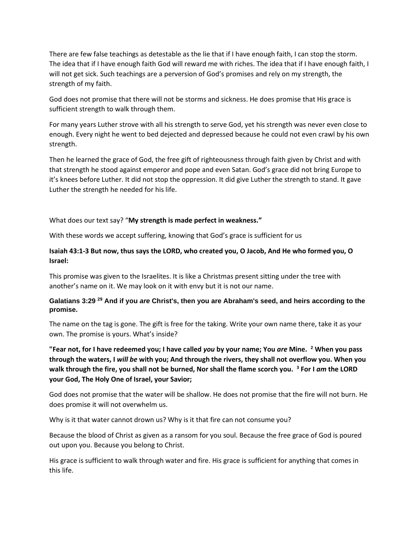There are few false teachings as detestable as the lie that if I have enough faith, I can stop the storm. The idea that if I have enough faith God will reward me with riches. The idea that if I have enough faith, I will not get sick. Such teachings are a perversion of God's promises and rely on my strength, the strength of my faith.

God does not promise that there will not be storms and sickness. He does promise that His grace is sufficient strength to walk through them.

For many years Luther strove with all his strength to serve God, yet his strength was never even close to enough. Every night he went to bed dejected and depressed because he could not even crawl by his own strength.

Then he learned the grace of God, the free gift of righteousness through faith given by Christ and with that strength he stood against emperor and pope and even Satan. God's grace did not bring Europe to it's knees before Luther. It did not stop the oppression. It did give Luther the strength to stand. It gave Luther the strength he needed for his life.

## What does our text say? "**My strength is made perfect in weakness."**

With these words we accept suffering, knowing that God's grace is sufficient for us

## **Isaiah 43:1-3 But now, thus says the LORD, who created you, O Jacob, And He who formed you, O Israel:**

This promise was given to the Israelites. It is like a Christmas present sitting under the tree with another's name on it. We may look on it with envy but it is not our name.

## **Galatians 3:29 <sup>29</sup> And if you** *are* **Christ's, then you are Abraham's seed, and heirs according to the promise.**

The name on the tag is gone. The gift is free for the taking. Write your own name there, take it as your own. The promise is yours. What's inside?

**"Fear not, for I have redeemed you; I have called** *you* **by your name; You** *are* **Mine. <sup>2</sup> When you pass through the waters, I** *will be* **with you; And through the rivers, they shall not overflow you. When you walk through the fire, you shall not be burned, Nor shall the flame scorch you. <sup>3</sup> For I** *am* **the LORD your God, The Holy One of Israel, your Savior;**

God does not promise that the water will be shallow. He does not promise that the fire will not burn. He does promise it will not overwhelm us.

Why is it that water cannot drown us? Why is it that fire can not consume you?

Because the blood of Christ as given as a ransom for you soul. Because the free grace of God is poured out upon you. Because you belong to Christ.

His grace is sufficient to walk through water and fire. His grace is sufficient for anything that comes in this life.